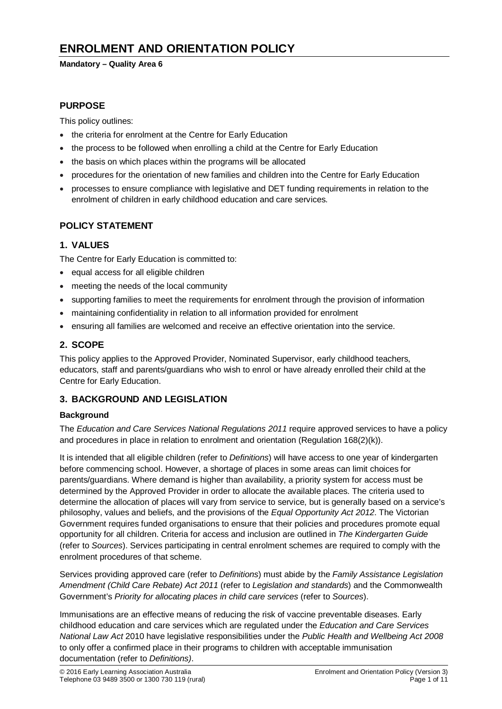# **ENROLMENT AND ORIENTATION POLICY**

#### **Mandatory – Quality Area 6**

# **PURPOSE**

This policy outlines:

- the criteria for enrolment at the Centre for Early Education
- the process to be followed when enrolling a child at the Centre for Early Education
- the basis on which places within the programs will be allocated
- procedures for the orientation of new families and children into the Centre for Early Education
- processes to ensure compliance with legislative and DET funding requirements in relation to the enrolment of children in early childhood education and care services.

### **POLICY STATEMENT**

# **1. VALUES**

The Centre for Early Education is committed to:

- equal access for all eligible children
- meeting the needs of the local community
- supporting families to meet the requirements for enrolment through the provision of information
- maintaining confidentiality in relation to all information provided for enrolment
- ensuring all families are welcomed and receive an effective orientation into the service.

# **2. SCOPE**

This policy applies to the Approved Provider, Nominated Supervisor, early childhood teachers, educators, staff and parents/guardians who wish to enrol or have already enrolled their child at the Centre for Early Education.

#### **3. BACKGROUND AND LEGISLATION**

#### **Background**

The *Education and Care Services National Regulations 2011* require approved services to have a policy and procedures in place in relation to enrolment and orientation (Regulation 168(2)(k)).

It is intended that all eligible children (refer to *Definitions*) will have access to one year of kindergarten before commencing school. However, a shortage of places in some areas can limit choices for parents/guardians. Where demand is higher than availability, a priority system for access must be determined by the Approved Provider in order to allocate the available places. The criteria used to determine the allocation of places will vary from service to service, but is generally based on a service's philosophy, values and beliefs, and the provisions of the *Equal Opportunity Act 2012*. The Victorian Government requires funded organisations to ensure that their policies and procedures promote equal opportunity for all children. Criteria for access and inclusion are outlined in *The Kindergarten Guide*  (refer to *Sources*). Services participating in central enrolment schemes are required to comply with the enrolment procedures of that scheme.

Services providing approved care (refer to *Definitions*) must abide by the *Family Assistance Legislation Amendment (Child Care Rebate) Act 2011* (refer to *Legislation and standards*) and the Commonwealth Government's *Priority for allocating places in child care services* (refer to *Sources*).

Immunisations are an effective means of reducing the risk of vaccine preventable diseases. Early childhood education and care services which are regulated under the *Education and Care Services National Law Act* 2010 have legislative responsibilities under the *Public Health and Wellbeing Act 2008* to only offer a confirmed place in their programs to children with acceptable immunisation documentation (refer to *Definitions)*.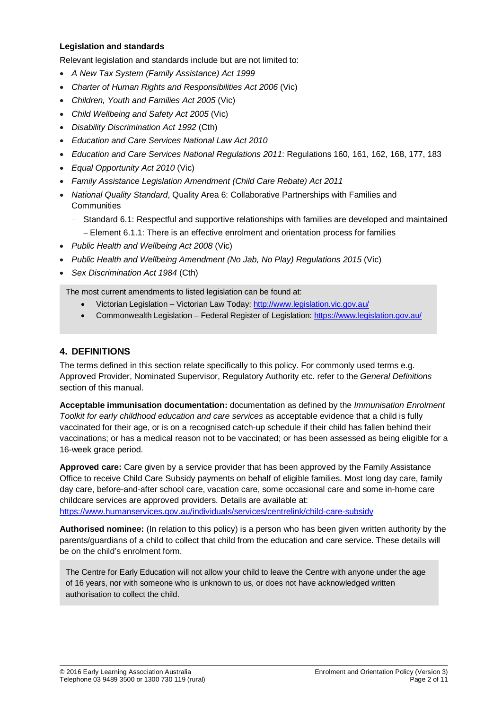#### **Legislation and standards**

Relevant legislation and standards include but are not limited to:

- *A New Tax System (Family Assistance) Act 1999*
- *[Charter of Human Rights and Responsibilities Act 2006](http://www.legislation.vic.gov.au/Domino/Web_Notes/LDMS/PubStatbook.nsf/f932b66241ecf1b7ca256e92000e23be/54d73763ef9dca36ca2571b6002428b0!OpenDocument)* (Vic)
- *Children, Youth and Families Act 2005* (Vic)
- *Child Wellbeing and Safety Act 2005* (Vic)
- *Disability Discrimination Act 1992* (Cth)
- *Education and Care Services National Law Act 2010*
- *Education and Care Services National Regulations 2011*: Regulations 160, 161, 162, 168, 177, 183
- *Equal Opportunity Act 2010* (Vic)
- *Family Assistance Legislation Amendment (Child Care Rebate) Act 2011*
- *National Quality Standard*, Quality Area 6: Collaborative Partnerships with Families and **Communities** 
	- − Standard 6.1: Respectful and supportive relationships with families are developed and maintained − Element 6.1.1: There is an effective enrolment and orientation process for families
- *Public Health and Wellbeing Act 2008* (Vic)
- *Public Health and Wellbeing Amendment (No Jab, No Play) Regulations 2015* (Vic)
- *Sex Discrimination Act 1984* (Cth)

The most current amendments to listed legislation can be found at:

- Victorian Legislation Victorian Law Today:<http://www.legislation.vic.gov.au/>
- Commonwealth Legislation Federal Register of Legislation:<https://www.legislation.gov.au/>

# **4. DEFINITIONS**

The terms defined in this section relate specifically to this policy. For commonly used terms e.g. Approved Provider, Nominated Supervisor, Regulatory Authority etc. refer to the *General Definitions* section of this manual.

**Acceptable immunisation documentation:** documentation as defined by the *Immunisation Enrolment Toolkit for early childhood education and care services* as acceptable evidence that a child is fully vaccinated for their age, or is on a recognised catch-up schedule if their child has fallen behind their vaccinations; or has a medical reason not to be vaccinated; or has been assessed as being eligible for a 16-week grace period.

**Approved care:** Care given by a service provider that has been approved by the Family Assistance Office to receive Child Care Subsidy payments on behalf of eligible families. Most long day care, family day care, before-and-after school care, vacation care, some occasional care and some in-home care childcare services are approved providers. Details are available at: <https://www.humanservices.gov.au/individuals/services/centrelink/child-care-subsidy>

**Authorised nominee:** (In relation to this policy) is a person who has been given written authority by the parents/guardians of a child to collect that child from the education and care service. These details will be on the child's enrolment form.

The Centre for Early Education will not allow your child to leave the Centre with anyone under the age of 16 years, nor with someone who is unknown to us, or does not have acknowledged written authorisation to collect the child.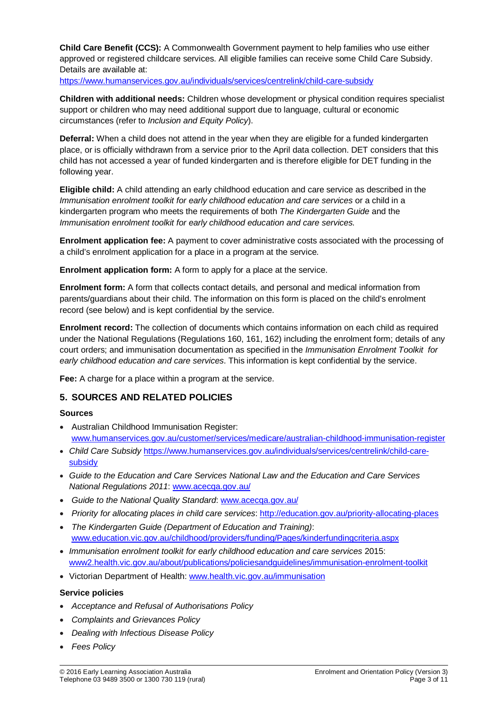**Child Care Benefit (CCS):** A Commonwealth Government payment to help families who use either approved or registered childcare services. All eligible families can receive some Child Care Subsidy. Details are available at:

<https://www.humanservices.gov.au/individuals/services/centrelink/child-care-subsidy>

**Children with additional needs:** Children whose development or physical condition requires specialist support or children who may need additional support due to language, cultural or economic circumstances (refer to *Inclusion and Equity Policy*).

**Deferral:** When a child does not attend in the year when they are eligible for a funded kindergarten place, or is officially withdrawn from a service prior to the April data collection. DET considers that this child has not accessed a year of funded kindergarten and is therefore eligible for DET funding in the following year.

**Eligible child:** A child attending an early childhood education and care service as described in the *Immunisation enrolment toolkit for early childhood education and care services or a child in a* kindergarten program who meets the requirements of both *The Kindergarten Guide* and the *Immunisation enrolment toolkit for early childhood education and care services.*

**Enrolment application fee:** A payment to cover administrative costs associated with the processing of a child's enrolment application for a place in a program at the service.

**Enrolment application form:** A form to apply for a place at the service.

**Enrolment form:** A form that collects contact details, and personal and medical information from parents/guardians about their child. The information on this form is placed on the child's enrolment record (see below) and is kept confidential by the service.

**Enrolment record:** The collection of documents which contains information on each child as required under the National Regulations (Regulations 160, 161, 162) including the enrolment form; details of any court orders; and immunisation documentation as specified in the *Immunisation Enrolment Toolkit for early childhood education and care services*. This information is kept confidential by the service.

**Fee:** A charge for a place within a program at the service.

# **5. SOURCES AND RELATED POLICIES**

#### **Sources**

- Australian Childhood Immunisation Register: [www.humanservices.gov.au/customer/services/medicare/australian-childhood-immunisation-register](http://www.humanservices.gov.au/customer/services/medicare/australian-childhood-immunisation-register)
- *Child Care Subsidy* [https://www.humanservices.gov.au/individuals/services/centrelink/child-care](https://www.humanservices.gov.au/individuals/services/centrelink/child-care-subsidy)[subsidy](https://www.humanservices.gov.au/individuals/services/centrelink/child-care-subsidy)
- *Guide to the Education and Care Services National Law and the Education and Care Services National Regulations 2011*: [www.acecqa.gov.au/](http://www.acecqa.gov.au/)
- *Guide to the National Quality Standard*: [www.acecqa.gov.au/](http://www.acecqa.gov.au/)
- *Priority for allocating places in child care services*: <http://education.gov.au/priority-allocating-places>
- *The Kindergarten Guide (Department of Education and Training)*: [www.education.vic.gov.au/childhood/providers/funding/Pages/kinderfundingcriteria.aspx](http://www.education.vic.gov.au/childhood/providers/funding/Pages/kinderfundingcriteria.aspx)
- *Immunisation enrolment toolkit for early childhood education and care services* 2015: [www2.health.vic.gov.au/about/publications/policiesandguidelines/immunisation-enrolment-toolkit](https://www2.health.vic.gov.au/about/publications/policiesandguidelines/immunisation-enrolment-toolkit)
- Victorian Department of Health: [www.health.vic.gov.au/immunisation](http://www.health.vic.gov.au/immunisation)

#### **Service policies**

- *Acceptance and Refusal of Authorisations Policy*
- *Complaints and Grievances Policy*
- *Dealing with Infectious Disease Policy*
- *Fees Policy*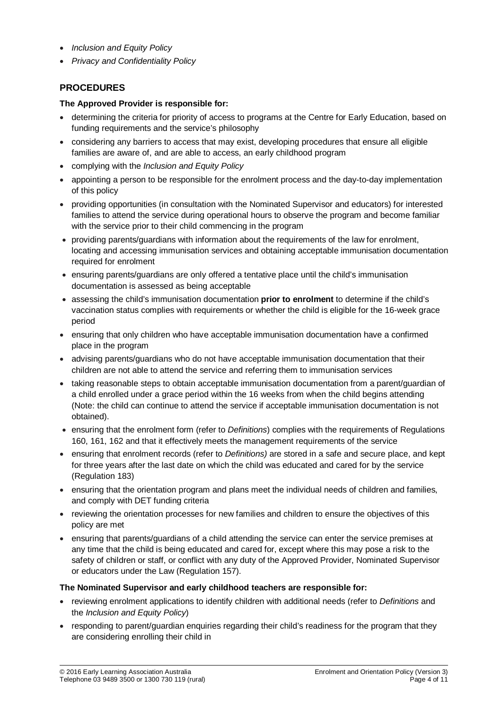- *Inclusion and Equity Policy*
- *Privacy and Confidentiality Policy*

# **PROCEDURES**

#### **The Approved Provider is responsible for:**

- determining the criteria for priority of access to programs at the Centre for Early Education, based on funding requirements and the service's philosophy
- considering any barriers to access that may exist, developing procedures that ensure all eligible families are aware of, and are able to access, an early childhood program
- complying with the *Inclusion and Equity Policy*
- appointing a person to be responsible for the enrolment process and the day-to-day implementation of this policy
- providing opportunities (in consultation with the Nominated Supervisor and educators) for interested families to attend the service during operational hours to observe the program and become familiar with the service prior to their child commencing in the program
- providing parents/guardians with information about the requirements of the law for enrolment, locating and accessing immunisation services and obtaining acceptable immunisation documentation required for enrolment
- ensuring parents/guardians are only offered a tentative place until the child's immunisation documentation is assessed as being acceptable
- assessing the child's immunisation documentation **prior to enrolment** to determine if the child's vaccination status complies with requirements or whether the child is eligible for the 16-week grace period
- ensuring that only children who have acceptable immunisation documentation have a confirmed place in the program
- advising parents/guardians who do not have acceptable immunisation documentation that their children are not able to attend the service and referring them to immunisation services
- taking reasonable steps to obtain acceptable immunisation documentation from a parent/guardian of a child enrolled under a grace period within the 16 weeks from when the child begins attending (Note: the child can continue to attend the service if acceptable immunisation documentation is not obtained).
- ensuring that the enrolment form (refer to *Definitions*) complies with the requirements of Regulations 160, 161, 162 and that it effectively meets the management requirements of the service
- ensuring that enrolment records (refer to *Definitions)* are stored in a safe and secure place, and kept for three years after the last date on which the child was educated and cared for by the service (Regulation 183)
- ensuring that the orientation program and plans meet the individual needs of children and families, and comply with DET funding criteria
- reviewing the orientation processes for new families and children to ensure the objectives of this policy are met
- ensuring that parents/guardians of a child attending the service can enter the service premises at any time that the child is being educated and cared for, except where this may pose a risk to the safety of children or staff, or conflict with any duty of the Approved Provider, Nominated Supervisor or educators under the Law (Regulation 157).

#### **The Nominated Supervisor and early childhood teachers are responsible for:**

- reviewing enrolment applications to identify children with additional needs (refer to *Definitions* and the *Inclusion and Equity Policy*)
- responding to parent/guardian enguiries regarding their child's readiness for the program that they are considering enrolling their child in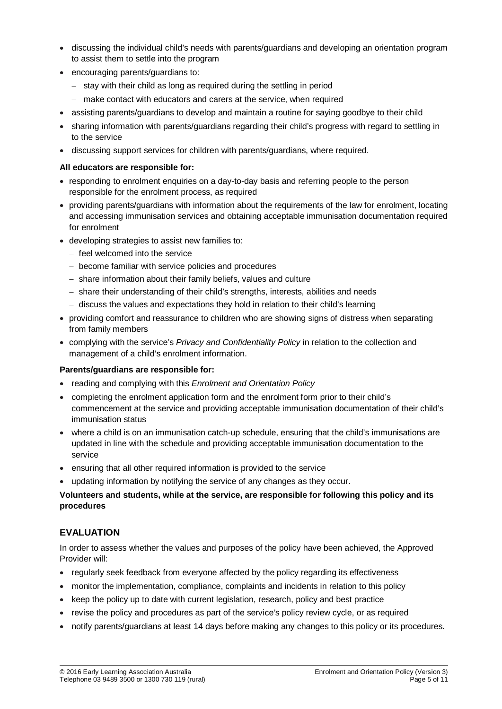- discussing the individual child's needs with parents/guardians and developing an orientation program to assist them to settle into the program
- encouraging parents/guardians to:
	- − stay with their child as long as required during the settling in period
	- − make contact with educators and carers at the service, when required
- assisting parents/guardians to develop and maintain a routine for saying goodbye to their child
- sharing information with parents/guardians regarding their child's progress with regard to settling in to the service
- discussing support services for children with parents/guardians, where required.

#### **All educators are responsible for:**

- responding to enrolment enquiries on a day-to-day basis and referring people to the person responsible for the enrolment process, as required
- providing parents/guardians with information about the requirements of the law for enrolment, locating and accessing immunisation services and obtaining acceptable immunisation documentation required for enrolment
- developing strategies to assist new families to:
	- − feel welcomed into the service
	- − become familiar with service policies and procedures
	- − share information about their family beliefs, values and culture
	- − share their understanding of their child's strengths, interests, abilities and needs
	- − discuss the values and expectations they hold in relation to their child's learning
- providing comfort and reassurance to children who are showing signs of distress when separating from family members
- complying with the service's *Privacy and Confidentiality Policy* in relation to the collection and management of a child's enrolment information.

#### **Parents/guardians are responsible for:**

- reading and complying with this *Enrolment and Orientation Policy*
- completing the enrolment application form and the enrolment form prior to their child's commencement at the service and providing acceptable immunisation documentation of their child's immunisation status
- where a child is on an immunisation catch-up schedule, ensuring that the child's immunisations are updated in line with the schedule and providing acceptable immunisation documentation to the service
- ensuring that all other required information is provided to the service
- updating information by notifying the service of any changes as they occur.

#### **Volunteers and students, while at the service, are responsible for following this policy and its procedures**

#### **EVALUATION**

In order to assess whether the values and purposes of the policy have been achieved, the Approved Provider will:

- regularly seek feedback from everyone affected by the policy regarding its effectiveness
- monitor the implementation, compliance, complaints and incidents in relation to this policy
- keep the policy up to date with current legislation, research, policy and best practice
- revise the policy and procedures as part of the service's policy review cycle, or as required
- notify parents/guardians at least 14 days before making any changes to this policy or its procedures.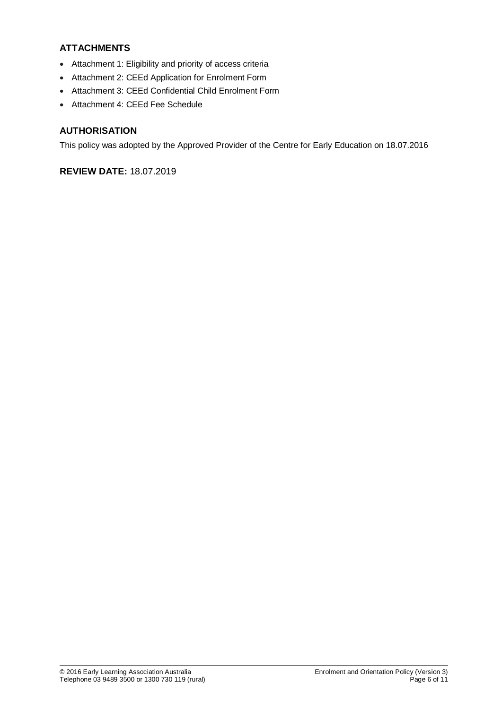# **ATTACHMENTS**

- Attachment 1: Eligibility and priority of access criteria
- Attachment 2: CEEd Application for Enrolment Form
- Attachment 3: CEEd Confidential Child Enrolment Form
- Attachment 4: CEEd Fee Schedule

### **AUTHORISATION**

This policy was adopted by the Approved Provider of the Centre for Early Education on 18.07.2016

# **REVIEW DATE:** 18.07.2019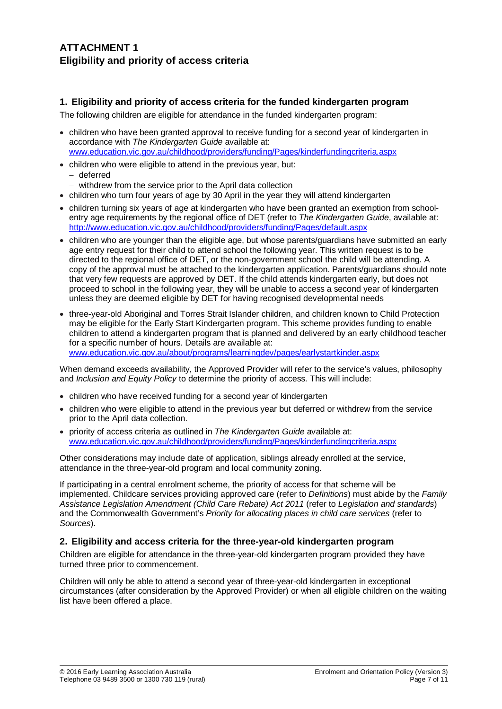# **ATTACHMENT 1 Eligibility and priority of access criteria**

### **1. Eligibility and priority of access criteria for the funded kindergarten program**

The following children are eligible for attendance in the funded kindergarten program:

- children who have been granted approval to receive funding for a second year of kindergarten in accordance with *The Kindergarten Guide* available at: [www.education.vic.gov.au/childhood/providers/funding/Pages/kinderfundingcriteria.aspx](http://www.education.vic.gov.au/childhood/providers/funding/Pages/kinderfundingcriteria.aspx)
- children who were eligible to attend in the previous year, but: − deferred
	- − withdrew from the service prior to the April data collection
- children who turn four years of age by 30 April in the year they will attend kindergarten
- children turning six years of age at kindergarten who have been granted an exemption from schoolentry age requirements by the regional office of DET (refer to *The Kindergarten Guide*, available at: <http://www.education.vic.gov.au/childhood/providers/funding/Pages/default.aspx>
- children who are younger than the eligible age, but whose parents/guardians have submitted an early age entry request for their child to attend school the following year. This written request is to be directed to the regional office of DET, or the non-government school the child will be attending. A copy of the approval must be attached to the kindergarten application. Parents/guardians should note that very few requests are approved by DET. If the child attends kindergarten early, but does not proceed to school in the following year, they will be unable to access a second year of kindergarten unless they are deemed eligible by DET for having recognised developmental needs
- three-year-old Aboriginal and Torres Strait Islander children, and children known to Child Protection may be eligible for the Early Start Kindergarten program. This scheme provides funding to enable children to attend a kindergarten program that is planned and delivered by an early childhood teacher for a specific number of hours. Details are available at: [www.education.vic.gov.au/about/programs/learningdev/pages/earlystartkinder.aspx](http://www.education.vic.gov.au/about/programs/learningdev/pages/earlystartkinder.aspx)

When demand exceeds availability, the Approved Provider will refer to the service's values, philosophy and *Inclusion and Equity Policy* to determine the priority of access. This will include:

- children who have received funding for a second vear of kindergarten
- children who were eligible to attend in the previous year but deferred or withdrew from the service prior to the April data collection.
- priority of access criteria as outlined in *The Kindergarten Guide* available at: [www.education.vic.gov.au/childhood/providers/funding/Pages/kinderfundingcriteria.aspx](http://www.education.vic.gov.au/childhood/providers/funding/Pages/kinderfundingcriteria.aspx)

Other considerations may include date of application, siblings already enrolled at the service, attendance in the three-year-old program and local community zoning.

If participating in a central enrolment scheme, the priority of access for that scheme will be implemented. Childcare services providing approved care (refer to *Definitions*) must abide by the *Family Assistance Legislation Amendment (Child Care Rebate) Act 2011* (refer to *Legislation and standards*) and the Commonwealth Government's *Priority for allocating places in child care services* (refer to *Sources*).

#### **2. Eligibility and access criteria for the three-year-old kindergarten program**

Children are eligible for attendance in the three-year-old kindergarten program provided they have turned three prior to commencement.

Children will only be able to attend a second year of three-year-old kindergarten in exceptional circumstances (after consideration by the Approved Provider) or when all eligible children on the waiting list have been offered a place.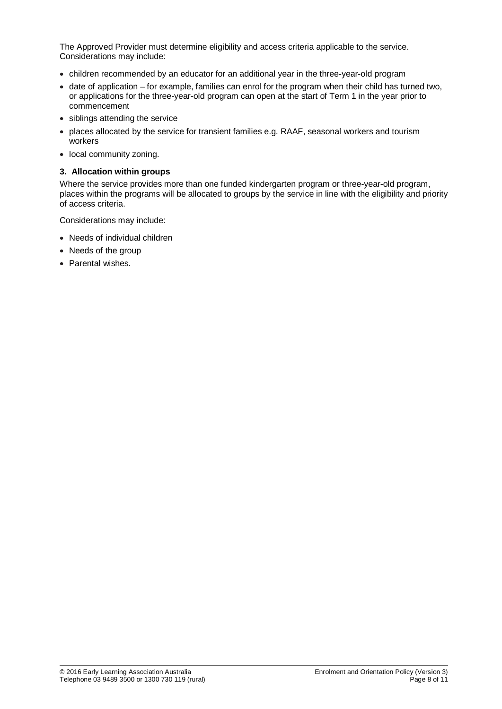The Approved Provider must determine eligibility and access criteria applicable to the service. Considerations may include:

- children recommended by an educator for an additional year in the three-year-old program
- date of application for example, families can enrol for the program when their child has turned two, or applications for the three-year-old program can open at the start of Term 1 in the year prior to commencement
- siblings attending the service
- places allocated by the service for transient families e.g. RAAF, seasonal workers and tourism workers
- local community zoning.

#### **3. Allocation within groups**

Where the service provides more than one funded kindergarten program or three-year-old program, places within the programs will be allocated to groups by the service in line with the eligibility and priority of access criteria.

Considerations may include:

- Needs of individual children
- Needs of the group
- Parental wishes.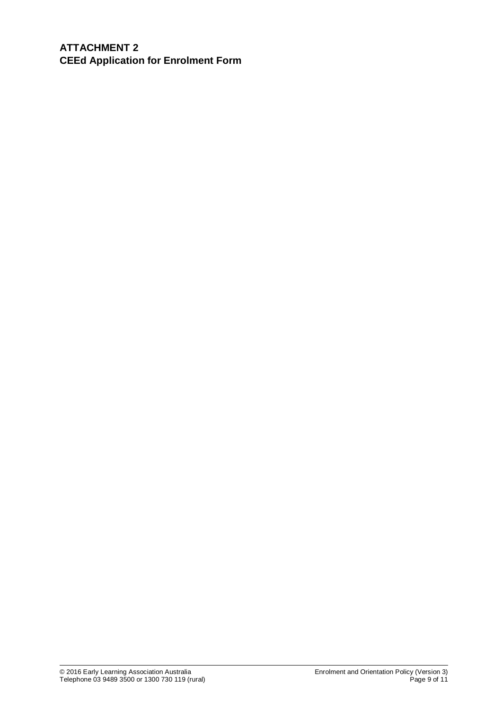**ATTACHMENT 2 CEEd Application for Enrolment Form**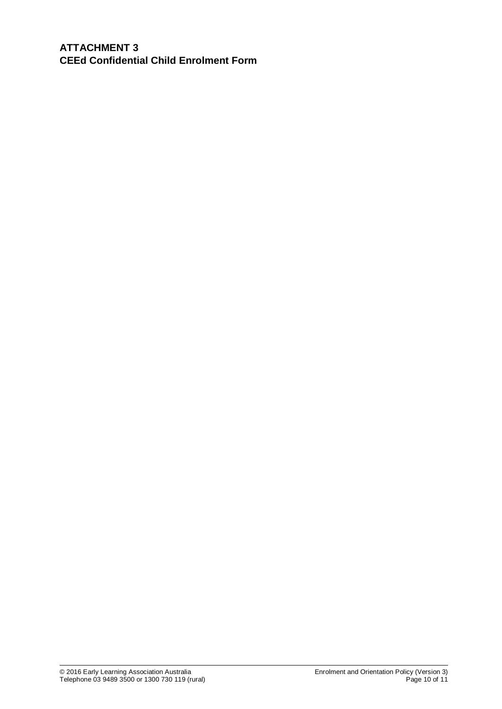**ATTACHMENT 3 CEEd Confidential Child Enrolment Form**